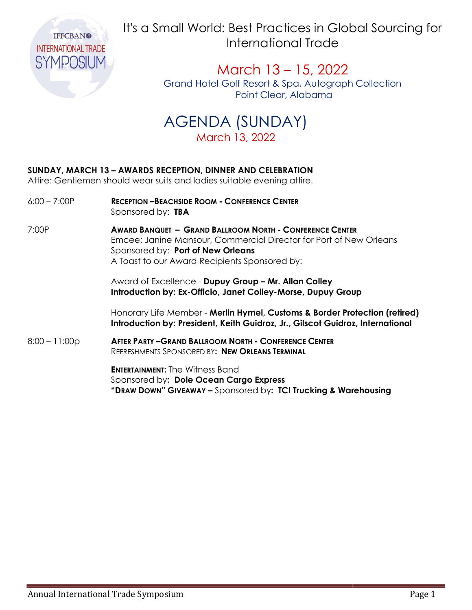

It's a Small World: Best Practices in Global Sourcing for

Grand Hotel Golf Resort & Spa, Autograph Collection March 13 – 15, 2022 Point Clear, Alabama



## SUNDAY, MARCH 13 – AWARDS RECEPTION, DINNER AND CELEBRATION

Attire: Gentlemen should wear suits and ladies suitable evening attire.

- 6:00 7:00P **RECEPTION -BEACHSIDE ROOM CONFERENCE CENTER** Sponsored by: TBA
- 7:00P AWARD BANQUET GRAND BALLROOM NORTH CONFERENCE CENTER Emcee: Janine Mansour Janine Mansour, Commercial Director for Port of New Orleans OrleansSponsored by: Port of New Orleans A Toast to our Award Recipients Sponsored by: A Toast to our Award Recipients Sponsored by:<br>Award of Excellence - **Dupuy Group – Mr. Allan Colley** International Trade<br>
International Trade<br>
IPOSIUM<br>
Syson AGENDA (SUNDAY)<br>
AGENDA (SUNDAY)<br>
March 13, 2022<br>
March 13, 2022<br>
March 13, 2022<br>
March 13, 2022<br>
March 13, 2022<br>
March 13, 2022<br>
March 13, 2022<br>
March 13, 2022<br>
Mar

Introduction by: Ex Ex-Officio, Janet Colley-Morse, Dupuy Group

Honorary Life Member - Merlin Hymel, Customs & Border Protection (retired) Introduction by: President, Keith Guidroz, Jr., Gilscot Guidroz, International

8:00 - 11:00p **AFTER PARTY - GRAND BALLROOM NORTH - CONFERENCE CENTER** REFRESHMENTS SPONSORED BY: **New Orleans Terminal** 

**ENTERTAINMENT:** The Witness Band Sponsored by: Dole Ocean Cargo Express "DRAW DOWN" GIVEAWAY – Sponsored by: TCI Trucking & Warehousing io, Janet Colley-Morse, Dupuy Group<br>Merlin Hymel, Customs & Border Protection (r<br>nt, Keith Guidroz, Jr., Gilscot Guidroz, Internat<br>OOM NORTH - CONFERENCE CENTER<br>Y: NEW ORLEANS TERMINAL<br>SS Band<br>ean Cargo Express<br>- Sponsored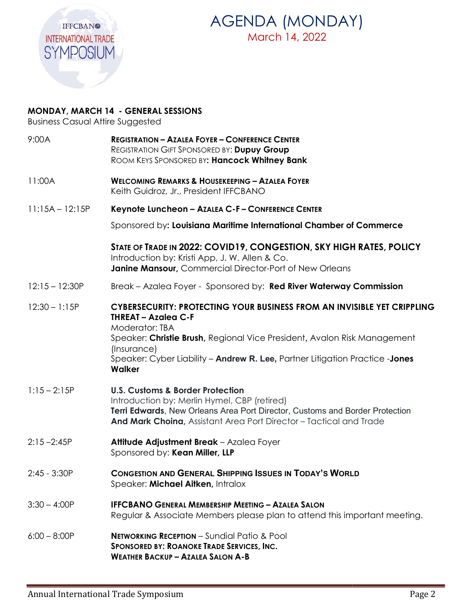

## March 14, 2022 AGENDA (MONDAY)

## MONDAY, MARCH 14 - GENERAL SESSIONS

| <b>IFFCBANO</b>                         | AGENDA (MONDAY)                                                                                                                                                                                                                                                                                                            |  |
|-----------------------------------------|----------------------------------------------------------------------------------------------------------------------------------------------------------------------------------------------------------------------------------------------------------------------------------------------------------------------------|--|
| <b>INTERNATIONAL TRADE</b><br>SYMPOSIUM | March 14, 2022                                                                                                                                                                                                                                                                                                             |  |
|                                         |                                                                                                                                                                                                                                                                                                                            |  |
| <b>Business Casual Attire Suggested</b> | <b>MONDAY, MARCH 14 - GENERAL SESSIONS</b>                                                                                                                                                                                                                                                                                 |  |
| 9:00A                                   | <b>REGISTRATION - AZALEA FOYER - CONFERENCE CENTER</b><br>REGISTRATION GIFT SPONSORED BY: Dupuy Group<br>ROOM KEYS SPONSORED BY: Hancock Whitney Bank                                                                                                                                                                      |  |
| 11:00A                                  | <b>WELCOMING REMARKS &amp; HOUSEKEEPING - AZALEA FOYER</b><br>Keith Guidroz, Jr., President IFFCBANO                                                                                                                                                                                                                       |  |
| $11:15A - 12:15P$                       | Keynote Luncheon - AZALEA C-F-CONFERENCE CENTER                                                                                                                                                                                                                                                                            |  |
|                                         | Sponsored by: Louisiana Maritime International Chamber of Commerce                                                                                                                                                                                                                                                         |  |
|                                         | STATE OF TRADE IN 2022: COVID19, CONGESTION, SKY HIGH RATES, POLICY<br>Introduction by: Kristi App, J. W. Allen & Co.<br>Janine Mansour, Commercial Director-Port of New Orleans                                                                                                                                           |  |
| $12:15 - 12:30P$                        | Break - Azalea Foyer - Sponsored by: Red River Waterway Commission                                                                                                                                                                                                                                                         |  |
| $12:30 - 1:15P$                         | <b>CYBERSECURITY: PROTECTING YOUR BUSINESS FROM AN INVISIBLE YET CRIPPLING</b><br><b>THREAT - Azalea C-F</b><br>Moderator: TBA<br>Speaker: Christie Brush, Regional Vice President, Avalon Risk Management<br>(Insurance)<br>Speaker: Cyber Liability - Andrew R. Lee, Partner Litigation Practice -Jones<br><b>Walker</b> |  |
| $1:15 - 2:15P$                          | <b>U.S. Customs &amp; Border Protection</b><br>Introduction by: Merlin Hymel, CBP (retired)<br>Terri Edwards, New Orleans Area Port Director, Customs and Border Protection<br>And Mark Choina, Assistant Area Port Director - Tactical and Trade                                                                          |  |
| 2:15-2:45P                              | Attitude Adjustment Break - Azalea Foyer<br>Sponsored by: Kean Miller, LLP                                                                                                                                                                                                                                                 |  |
| 2:45 - 3:30P                            | <b>CONGESTION AND GENERAL SHIPPING ISSUES IN TODAY'S WORLD</b><br>Speaker: Michael Aitken, Intralox                                                                                                                                                                                                                        |  |
| $3:30 - 4:00P$                          | <b>IFFCBANO GENERAL MEMBERSHIP MEETING - AZALEA SALON</b><br>Regular & Associate Members please plan to attend this important meeting.                                                                                                                                                                                     |  |
| $6:00 - 8:00P$                          | <b>NETWORKING RECEPTION - Sundial Patio &amp; Pool</b><br>SPONSORED BY: ROANOKE TRADE SERVICES, INC.<br><b>WEATHER BACKUP - AZALEA SALON A-B</b>                                                                                                                                                                           |  |
|                                         |                                                                                                                                                                                                                                                                                                                            |  |
|                                         | Annual International Trade Symposium<br>Page 2                                                                                                                                                                                                                                                                             |  |